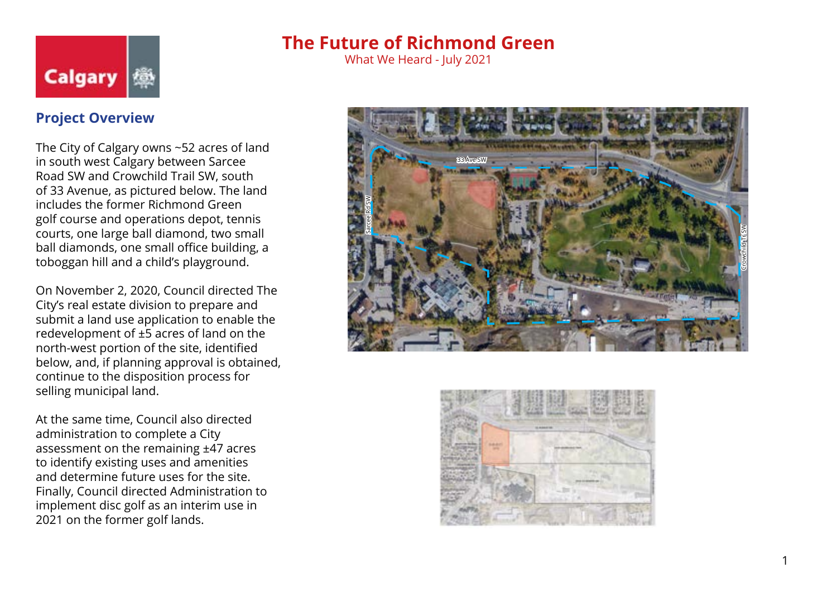

What We Heard - July 2021

### **Project Overview**

The City of Calgary owns ~52 acres of land in south west Calgary between Sarcee Road SW and Crowchild Trail SW, south of 33 Avenue, as pictured below. The land includes the former Richmond Green golf course and operations depot, tennis courts, one large ball diamond, two small ball diamonds, one small office building, a toboggan hill and a child's playground.

On November 2, 2020, Council directed The City's real estate division to prepare and submit a land use application to enable the redevelopment of ±5 acres of land on the north-west portion of the site, identified below, and, if planning approval is obtained, continue to the disposition process for selling municipal land.

At the same time, Council also directed administration to complete a City assessment on the remaining ±47 acres to identify existing uses and amenities and determine future uses for the site. Finally, Council directed Administration to implement disc golf as an interim use in 2021 on the former golf lands.





1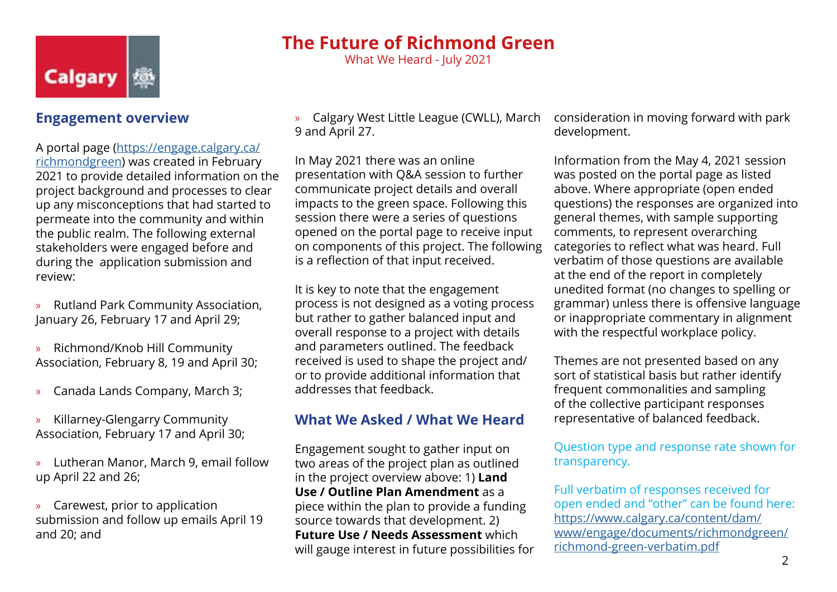

### **Engagement overview**

A portal page [\(https://engage.calgary.ca/](https://engage.calgary.ca/richmondgreen) [richmondgreen](https://engage.calgary.ca/richmondgreen)) was created in February 2021 to provide detailed information on the project background and processes to clear up any misconceptions that had started to permeate into the community and within the public realm. The following external stakeholders were engaged before and during the application submission and review:

- » Rutland Park Community Association, January 26, February 17 and April 29;
- » Richmond/Knob Hill Community Association, February 8, 19 and April 30;
- » Canada Lands Company, March 3;
- » Killarney-Glengarry Community Association, February 17 and April 30;
- » Lutheran Manor, March 9, email follow up April 22 and 26;
- » Carewest, prior to application submission and follow up emails April 19 and 20; and

» Calgary West Little League (CWLL), March 9 and April 27.

**The Future of Richmond Green** What We Heard - July 2021

In May 2021 there was an online presentation with Q&A session to further communicate project details and overall impacts to the green space. Following this session there were a series of questions opened on the portal page to receive input on components of this project. The following is a reflection of that input received.

It is key to note that the engagement process is not designed as a voting process but rather to gather balanced input and overall response to a project with details and parameters outlined. The feedback received is used to shape the project and/ or to provide additional information that addresses that feedback.

### **What We Asked / What We Heard**

Engagement sought to gather input on two areas of the project plan as outlined in the project overview above: 1) **Land Use / Outline Plan Amendment** as a piece within the plan to provide a funding source towards that development. 2) **Future Use / Needs Assessment** which will gauge interest in future possibilities for consideration in moving forward with park development.

Information from the May 4, 2021 session was posted on the portal page as listed above. Where appropriate (open ended questions) the responses are organized into general themes, with sample supporting comments, to represent overarching categories to reflect what was heard. Full verbatim of those questions are available at the end of the report in completely unedited format (no changes to spelling or grammar) unless there is offensive language or inappropriate commentary in alignment with the respectful workplace policy.

Themes are not presented based on any sort of statistical basis but rather identify frequent commonalities and sampling of the collective participant responses representative of balanced feedback.

Question type and response rate shown for transparency.

Full verbatim of responses received for open ended and "other" can be found here: [https://www.calgary.ca/content/dam/](https://www.calgary.ca/content/dam/www/engage/documents/richmondgreen/richmond-green-verbatim.pdf) [www/engage/documents/richmondgreen/](https://www.calgary.ca/content/dam/www/engage/documents/richmondgreen/richmond-green-verbatim.pdf) [richmond-green-verbatim.pdf](https://www.calgary.ca/content/dam/www/engage/documents/richmondgreen/richmond-green-verbatim.pdf)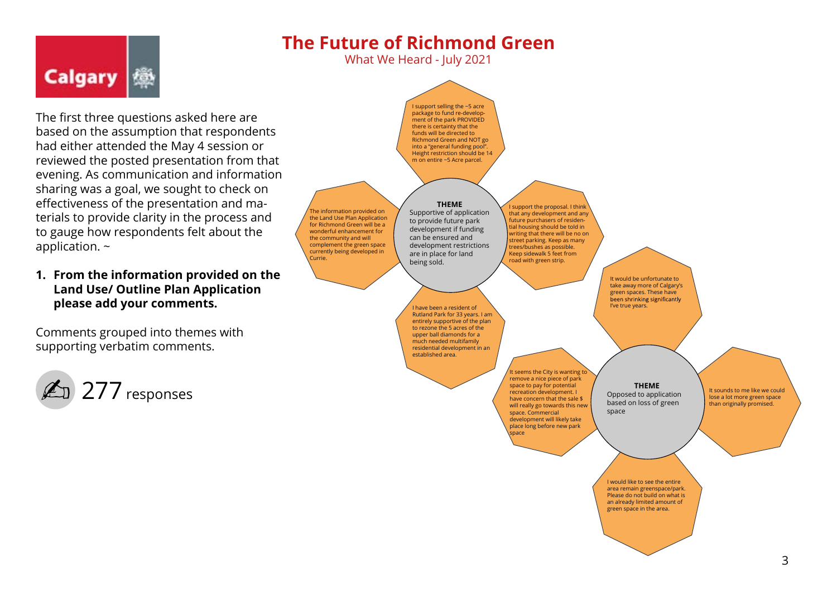What We Heard - July 2021

The first three questions asked here are based on the assumption that respondents had either attended the May 4 session or reviewed the posted presentation from that evening. As communication and information sharing was a goal, we sought to check on effectiveness of the presentation and materials to provide clarity in the process and to gauge how respondents felt about the application. ~

#### **1. From the information provided on the Land Use/ Outline Plan Application please add your comments.**

Comments grouped into themes with supporting verbatim comments.



**Calgary** 

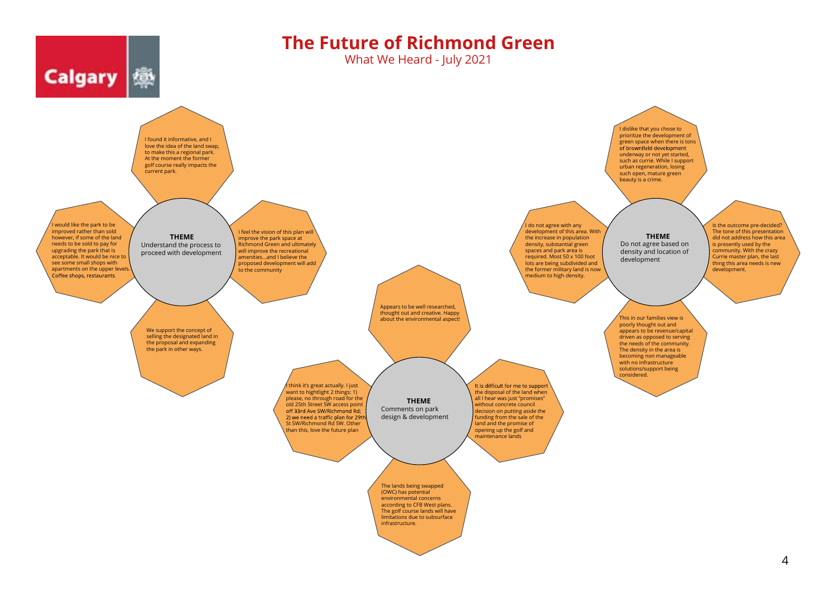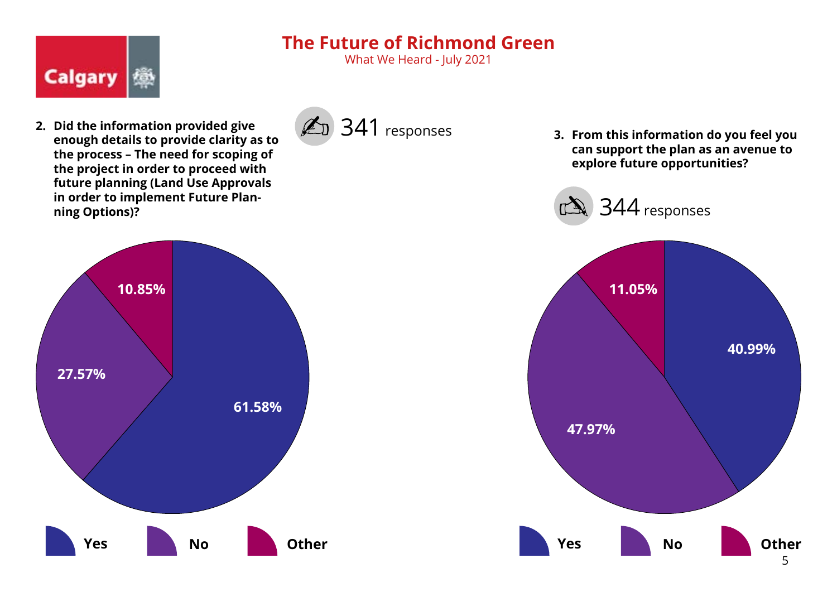What We Heard - July 2021



**2. Did the information provided give enough details to provide clarity as to the process – The need for scoping of the project in order to proceed with future planning (Land Use Approvals in order to implement Future Planning Options)?**



**3. From this information do you feel you can support the plan as an avenue to explore future opportunities?**



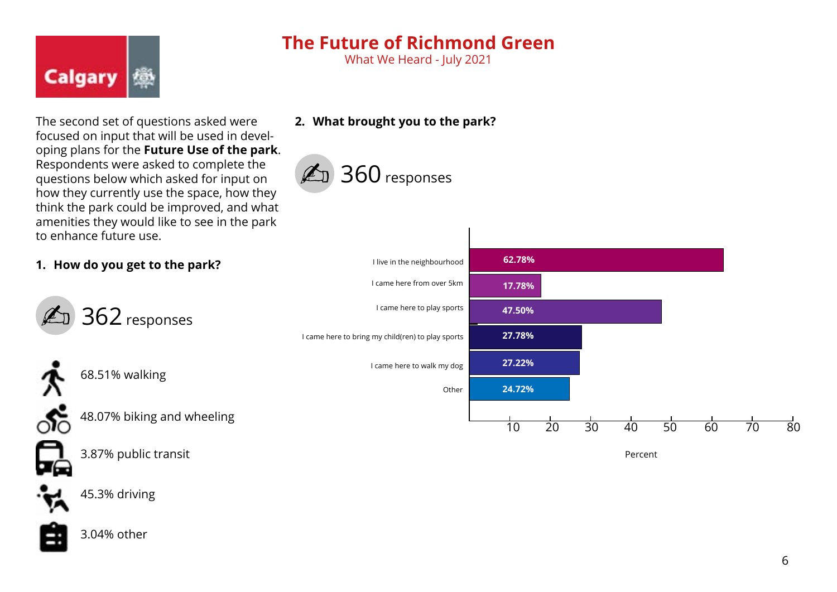What We Heard - July 2021

The second set of questions asked were focused on input that will be used in developing plans for the **Future Use of the park**. Respondents were asked to complete the questions below which asked for input on how they currently use the space, how they think the park could be improved, and what amenities they would like to see in the park to enhance future use.

**2. What brought you to the park?**

360 responses

#### **1. How do you get to the park?**



**Calgary** 

68.51% walking

48.07% biking and wheeling



3.87% public transit



45.3% driving



3.04% other



Percent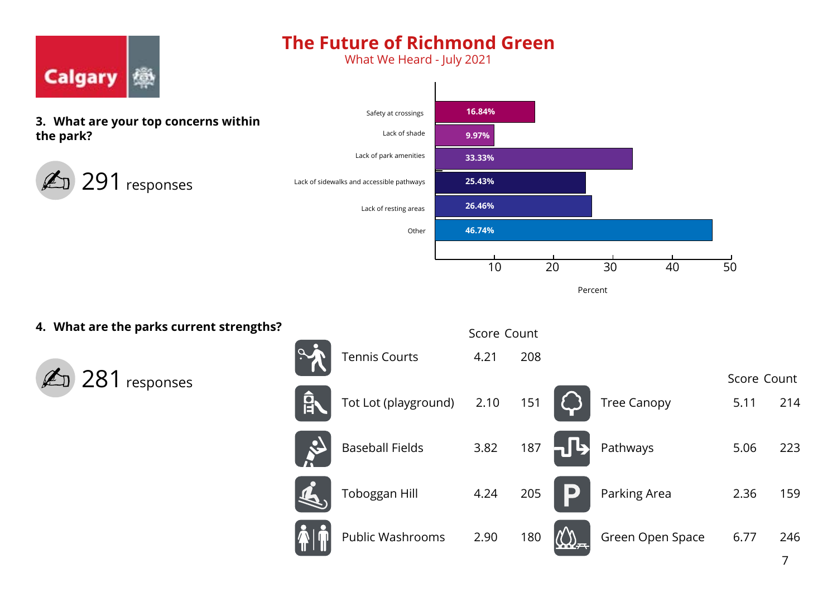What We Heard - July 2021



 $\overline{\mathsf{E}}$ 

Percent

### **4. What are the parks current strengths?**





|   |                    | Score Count |     |
|---|--------------------|-------------|-----|
|   | <b>Tree Canopy</b> | 5.11        | 214 |
| L | Pathways           | 5.06        | 223 |
|   | Parking Area       | 2.36        | 159 |

Green Open Space 6.77 246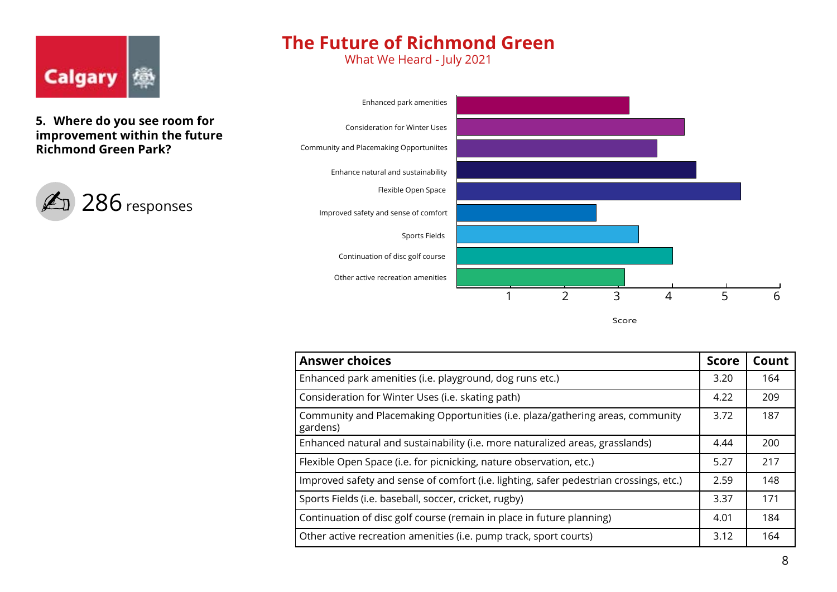

**5. Where do you see room for improvement within the future Richmond Green Park?** 



## **The Future of Richmond Green**

What We Heard - July 2021



Score

| <b>Answer choices</b>                                                                      |      | Count |
|--------------------------------------------------------------------------------------------|------|-------|
| Enhanced park amenities (i.e. playground, dog runs etc.)                                   |      | 164   |
| Consideration for Winter Uses (i.e. skating path)                                          |      | 209   |
| Community and Placemaking Opportunities (i.e. plaza/gathering areas, community<br>gardens) |      | 187   |
| Enhanced natural and sustainability (i.e. more naturalized areas, grasslands)              | 4.44 | 200   |
| Flexible Open Space (i.e. for picnicking, nature observation, etc.)                        |      | 217   |
| Improved safety and sense of comfort (i.e. lighting, safer pedestrian crossings, etc.)     |      | 148   |
| Sports Fields (i.e. baseball, soccer, cricket, rugby)                                      |      | 171   |
| Continuation of disc golf course (remain in place in future planning)                      |      | 184   |
| Other active recreation amenities (i.e. pump track, sport courts)                          |      | 164   |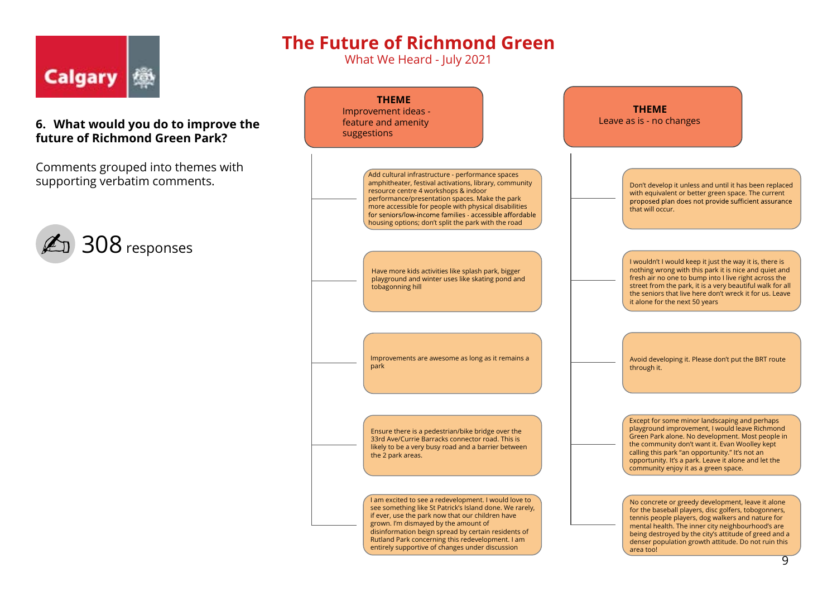

#### **6. What would you do to improve the future of Richmond Green Park?**

Comments grouped into themes with supporting verbatim comments.



# **The Future of Richmond Green**

What We Heard - July 2021

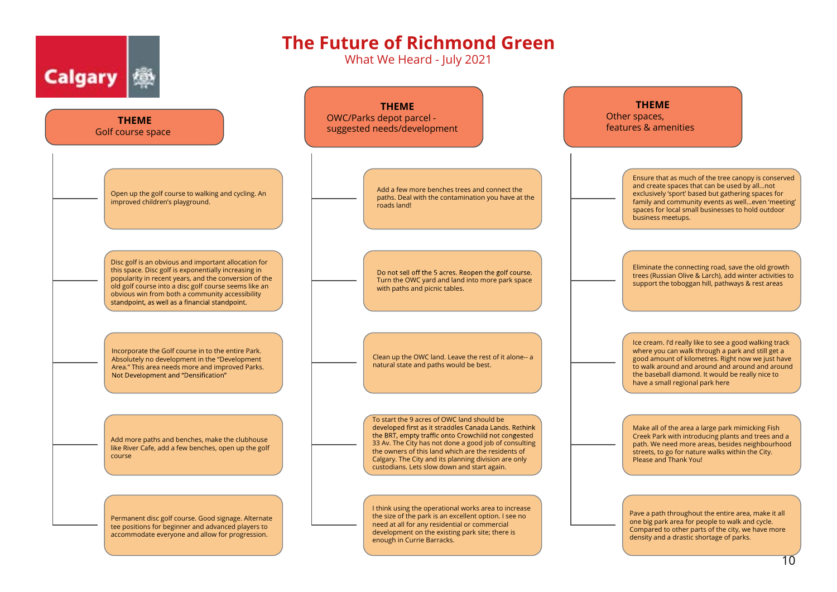